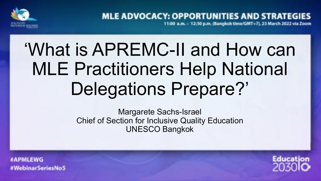

**MLE ADVOCACY: OPPORTUNITIES AND STRATEGI** 11:00 a.m. - 12:30 p.m. (Bangkok time/GMT+7), 23 March 2022 via Zoom

# 'What is APREMC-II and How can MLE Practitioners Help National Delegations Prepare?'

Margarete Sachs-Israel Chief of Section for Inclusive Quality Education UNESCO Bangkok

**#APMLEWG** #WebinarSeriesNoS

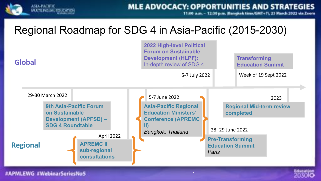

11:00 a.m. - 12:30 p.m. (Bangkak time/GMT+7), 23 March 2022 via Zeom

### Regional Roadmap for SDG 4 in Asia-Pacific (2015-2030)



1

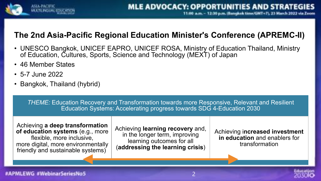

### **The 2nd Asia-Pacific Regional Education Minister's Conference (APREMC-II)**

- UNESCO Bangkok, UNICEF EAPRO, UNICEF ROSA, Ministry of Education Thailand, Ministry of Education, Cultures, Sports, Science and Technology (MEXT) of Japan
- 46 Member States
- 5-7 June 2022
- Bangkok, Thailand (hybrid)

*THEME:* Education Recovery and Transformation towards more Responsive, Relevant and Resilient Education Systems: Accelerating progress towards SDG 4-Education 2030

Achieving **a deep transformation of education systems** (e.g., more flexible, more inclusive, more digital, more environmentally friendly and sustainable systems)

Achieving **learning recovery** and, in the longer term, improving learning outcomes for all (**addressing the learning crisis**)

Achieving i**ncreased investment in education** and enablers for transformation

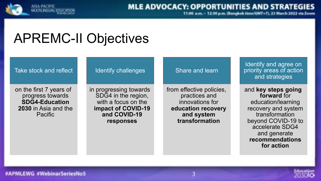

11.00 a.m. - 12:30 p.m. (Bangkak time/GMT+7), 23 March 2022 via Zeom

## APREMC-II Objectives

#### Take stock and reflect

on the first 7 years of progress towards **SDG4-Education 2030** in Asia and the Pacific

#### Identify challenges

in progressing towards SDG4 in the region, with a focus on the **impact of COVID-19 and COVID-19 responses**

#### Share and learn

from effective policies, practices and innovations for **education recovery and system transformation**

Identify and agree on priority areas of action and strategies

#### and **key steps going forward** for education/learning recovery and system transformation beyond COVID-19 to accelerate SDG4 and generate **recommendations for action**

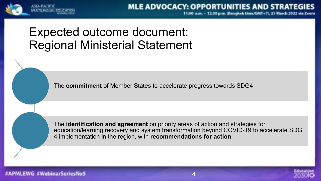

11.00 a.m. - 12.30 p.m. (Bangkok time/GMT+7), 23 March 2022

### Expected outcome document: Regional Ministerial Statement

The **commitment** of Member States to accelerate progress towards SDG4

The **identification and agreement** on priority areas of action and strategies for education/learning recovery and system transformation beyond COVID-19 to accelerate SDG 4 implementation in the region, with **recommendations for action**



PMLEWG #WebinarSeriesNo5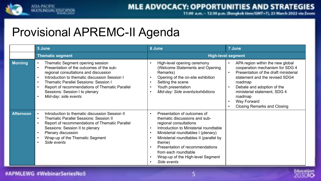

11.00 a.m. - 12.30 p.m. (Bangkok time/GMT+7), 23 March 2022 via Zeom

## Provisional APREMC-II Agenda

|                  | 5 June                                                                                                                                                                                                                                                                                                                                                                                        | 6 June                                                                                                                                                                                                                                                                                                                                                                             | 7 June                                                                                                                                                                                                                                                                                                            |
|------------------|-----------------------------------------------------------------------------------------------------------------------------------------------------------------------------------------------------------------------------------------------------------------------------------------------------------------------------------------------------------------------------------------------|------------------------------------------------------------------------------------------------------------------------------------------------------------------------------------------------------------------------------------------------------------------------------------------------------------------------------------------------------------------------------------|-------------------------------------------------------------------------------------------------------------------------------------------------------------------------------------------------------------------------------------------------------------------------------------------------------------------|
|                  | <b>Thematic segment</b>                                                                                                                                                                                                                                                                                                                                                                       | <b>High-level segment</b>                                                                                                                                                                                                                                                                                                                                                          |                                                                                                                                                                                                                                                                                                                   |
| <b>Morning</b>   | <b>Thematic Segment opening session</b><br>Presentation of the outcomes of the sub-<br>$\bullet$<br>regional consultations and discussion<br>Introduction to thematic discussion Session I<br>$\bullet$<br><b>Thematic Parallel Sessions: Session I</b><br>$\bullet$<br>Report of recommendations of Thematic Parallel<br>$\bullet$<br>Sessions: Session I to plenary<br>Mid-day: side events | High-level opening ceremony<br>(Welcome Statements and Opening<br>Remarks)<br>Opening of the on-site exhibition<br>$\bullet$<br>Setting the scene<br>Youth presentation<br>$\bullet$<br>Mid-day: Side events/exhibitions                                                                                                                                                           | APA region within the new global<br>cooperation mechanism for SDG 4<br>Presentation of the draft ministerial<br>statement and the revised SDG4<br>roadmap<br>Debate and adoption of the<br>$\bullet$<br>ministerial statement, SDG 4<br>roadmap<br>Way Forward<br>$\bullet$<br><b>Closing Remarks and Closing</b> |
| <b>Afternoon</b> | Introduction to thematic discussion Session II<br><b>Thematic Parallel Sessions: Session II</b><br>$\bullet$<br>Report of recommendations of Thematic Parallel<br>$\bullet$<br>Sessions: Session II to plenary<br>Plenary discussion<br>$\bullet$<br>Wrap-up of the Thematic Segment<br>$\bullet$<br>Side events<br>$\bullet$                                                                 | Presentation of outcomes of<br>$\bullet$<br>thematic discussions and sub-<br>regional consultations<br>Introduction to Ministerial roundtable<br>$\bullet$<br>Ministerial roundtables I (plenary)<br>$\bullet$<br>Ministerial roundtables II (parallel by<br>theme)<br>Presentation of recommendations<br>from each roundtable<br>Wrap-up of the High-level Segment<br>Side events |                                                                                                                                                                                                                                                                                                                   |

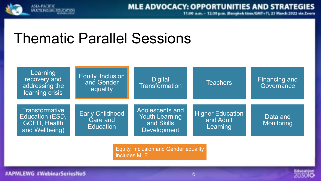

11.00 a.m. - 12:30 p.m. (Bangkok time/GMT+7), 23 March 2022 via Zeom

## Thematic Parallel Sessions



Equity, Inclusion and Gender equality includes MLE

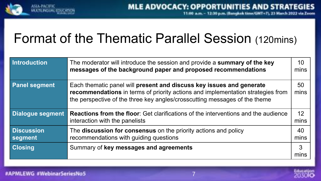

## Format of the Thematic Parallel Session (120mins)

| <b>Introduction</b>          | The moderator will introduce the session and provide a summary of the key<br>messages of the background paper and proposed recommendations                                                                                            | 10<br>mins |
|------------------------------|---------------------------------------------------------------------------------------------------------------------------------------------------------------------------------------------------------------------------------------|------------|
| <b>Panel segment</b>         | Each thematic panel will present and discuss key issues and generate<br>recommendations in terms of priority actions and implementation strategies from<br>the perspective of the three key angles/crosscutting messages of the theme |            |
| <b>Dialogue segment</b>      | <b>Reactions from the floor:</b> Get clarifications of the interventions and the audience<br>interaction with the panelists                                                                                                           | 12<br>mins |
| <b>Discussion</b><br>segment | The discussion for consensus on the priority actions and policy<br>recommendations with guiding questions                                                                                                                             | 40<br>mins |
| <b>Closing</b>               | Summary of key messages and agreements                                                                                                                                                                                                | 3<br>mins  |

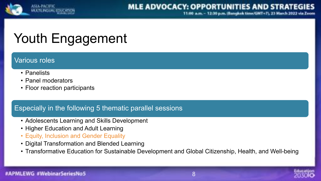

11.00 a.m. - 12.30 p.m. (Bangkok time/GMT+7), 23 March

## Youth Engagement

### Various roles

- Panelists
- Panel moderators
- Floor reaction participants

### Especially in the following 5 thematic parallel sessions

- Adolescents Learning and Skills Development
- Higher Education and Adult Learning
- Equity, Inclusion and Gender Equality
- Digital Transformation and Blended Learning
- Transformative Education for Sustainable Development and Global Citizenship, Health, and Well-being

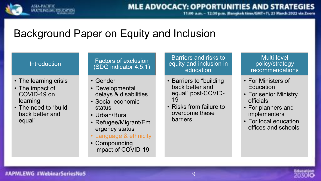

11:00 a.m. - 12:30 p.m. (Bangkok time/GMT+7), 23 March 2022 via Zeom

### Background Paper on Equity and Inclusion

#### **Introduction**

- The learning crisis
- The impact of COVID-19 on learning
- The need to "build back better and equal"

#### Factors of exclusion (SDG indicator 4.5.1)

- Gender
- Developmental delays & disabilities
- Social-economic status
- Urban/Rural
- Refugee/Migrant/Em ergency status
- Language & ethnicity
- Compounding impact of COVID-19

#### Barriers and risks to equity and inclusion in education

- Barriers to "building back better and equal" post-COVID-19
- Risks from failure to overcome these barriers

#### Multi-level policy/strategy recommendations

- For Ministers of Education
- For senior Ministry officials
- For planners and implementers
- For local education offices and schools

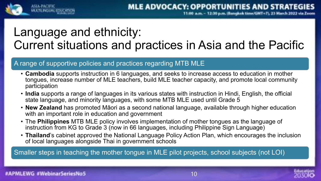## Language and ethnicity: Current situations and practices in Asia and the Pacific

#### A range of supportive policies and practices regarding MTB MLE

- **Cambodia** supports instruction in 6 languages, and seeks to increase access to education in mother tongues, increase number of MLE teachers, build MLE teacher capacity, and promote local community participation
- **India** supports a range of languages in its various states with instruction in Hindi, English, the official state language, and minority languages, with some MTB MLE used until Grade 5
- **New Zealand** has promoted Māori as a second national language, available through higher education with an important role in education and government
- The **Philippines** MTB MLE policy involves implementation of mother tongues as the language of instruction from KG to Grade 3 (now in 66 languages, including Philippine Sign Language)
- **Thailand**'s cabinet approved the National Language Policy Action Plan, which encourages the inclusion of local languages alongside Thai in government schools

Smaller steps in teaching the mother tongue in MLE pilot projects, school subjects (not LOI)

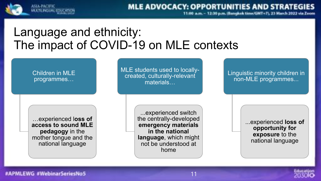

11.00 a.m. - 12:30 p.m. (Bangkok time/GMT+7), 23 March 2022 via 2

### Language and ethnicity: The impact of COVID-19 on MLE contexts

Children in MLE programmes…

…experienced l**oss of access to sound MLE pedagogy** in the mother tongue and the national language

MLE students used to locallycreated, culturally-relevant materials…

> ...experienced switch the centrally-developed **emergency materials in the national language**, which might not be understood at home

Linguistic minority children in non-MLE programmes...

> ...experienced **loss of opportunity for exposure** to the national language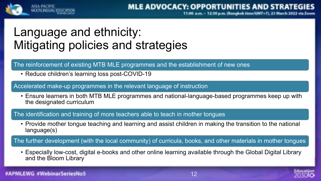

:30 p.m. (Bangkok time/GMT+7), 23 March

## Language and ethnicity: Mitigating policies and strategies

The reinforcement of existing MTB MLE programmes and the establishment of new ones

• Reduce children's learning loss post-COVID-19

Accelerated make-up programmes in the relevant language of instruction

• Ensure learners in both MTB MLE programmes and national-language-based programmes keep up with the designated curriculum

The identification and training of more teachers able to teach in mother tongues

• Provide mother tongue teaching and learning and assist children in making the transition to the national language(s)

The further development (with the local community) of curricula, books, and other materials in mother tongues

• Especially low-cost, digital e-books and other online learning available through the Global Digital Library and the Bloom Library

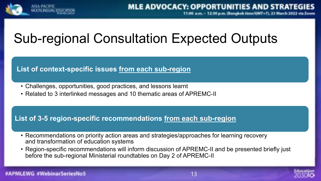

## Sub-regional Consultation Expected Outputs

### **List of context-specific issues from each sub-region**

- Challenges, opportunities, good practices, and lessons learnt
- Related to 3 interlinked messages and 10 thematic areas of APREMC-II

### **List of 3-5 region-specific recommendations from each sub-region**

- Recommendations on priority action areas and strategies/approaches for learning recovery and transformation of education systems
- Region-specific recommendations will inform discussion of APREMC-II and be presented briefly just before the sub-regional Ministerial roundtables on Day 2 of APREMC-II

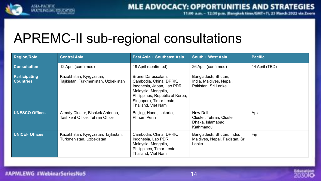

11.00 a.m. - 12.30 p.m. (Bangkok time/GMT+7), 23 March 2022 via Zeom

## APREMC-II sub-regional consultations

| <b>Region/Role</b>                       | <b>Central Asia</b>                                                | <b>East Asia + Southeast Asia</b>                                                                                                                                                     | South + West Asia                                                      | <b>Pacific</b> |
|------------------------------------------|--------------------------------------------------------------------|---------------------------------------------------------------------------------------------------------------------------------------------------------------------------------------|------------------------------------------------------------------------|----------------|
| <b>Consultation</b>                      | 12 April (confirmed)                                               | 19 April (confirmed)                                                                                                                                                                  | 26 April (confirmed)                                                   | 14 April (TBD) |
| <b>Participating</b><br><b>Countries</b> | Kazakhstan, Kyrgyzstan,<br>Tajikistan, Turkmenistan, Uzbekistan    | Brunei Darussalam,<br>Cambodia, China, DPRK,<br>Indonesia, Japan, Lao PDR,<br>Malaysia, Mongolia,<br>Philippines, Republic of Korea,<br>Singapore, Timor-Leste,<br>Thailand, Viet Nam | Bangladesh, Bhutan,<br>India, Maldives, Nepal,<br>Pakistan, Sri Lanka  |                |
| <b>UNESCO Offices</b>                    | Almaty Cluster, Bishkek Antenna,<br>Tashkent Office, Tehran Office | Beijing, Hanoi, Jakarta,<br><b>Phnom Penh</b>                                                                                                                                         | New Delhi<br>Cluster, Tehran, Cluster<br>Dhaka, Islamabad<br>Kathmandu | Apia           |
| <b>UNICEF Offices</b>                    | Kazakhstan, Kyrgyzstan, Tajikistan,<br>Turkmenistan, Uzbekistan    | Cambodia, China, DPRK,<br>Indonesia, Lao PDR,<br>Malaysia, Mongolia,<br>Philippines, Timor-Leste,<br>Thailand, Viet Nam                                                               | Bangladesh, Bhutan, India,<br>Maldives, Nepal, Pakistan, Sri<br>Lanka  | Fiji           |

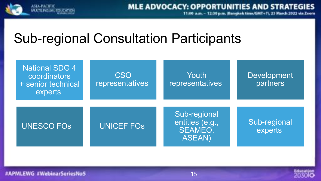

## Sub-regional Consultation Participants

| <b>National SDG 4</b><br>coordinators<br>+ senior technical<br>experts | <b>CSO</b><br>representatives | Youth<br>representatives                                           | <b>Development</b><br>partners |
|------------------------------------------------------------------------|-------------------------------|--------------------------------------------------------------------|--------------------------------|
| <b>UNESCO FOS</b>                                                      | <b>UNICEF FOS</b>             | Sub-regional<br>entities (e.g.,<br><b>SEAMEO,</b><br><b>ASEAN)</b> | Sub-regional<br>experts        |

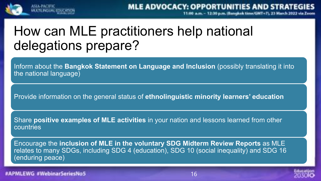

## How can MLE practitioners help national delegations prepare?

Inform about the **Bangkok Statement on Language and Inclusion** (possibly translating it into the national language)

Provide information on the general status of **ethnolinguistic minority learners' education**

Share **positive examples of MLE activities** in your nation and lessons learned from other countries

Encourage the **inclusion of MLE in the voluntary SDG Midterm Review Reports** as MLE relates to many SDGs, including SDG 4 (education), SDG 10 (social inequality) and SDG 16 (enduring peace)